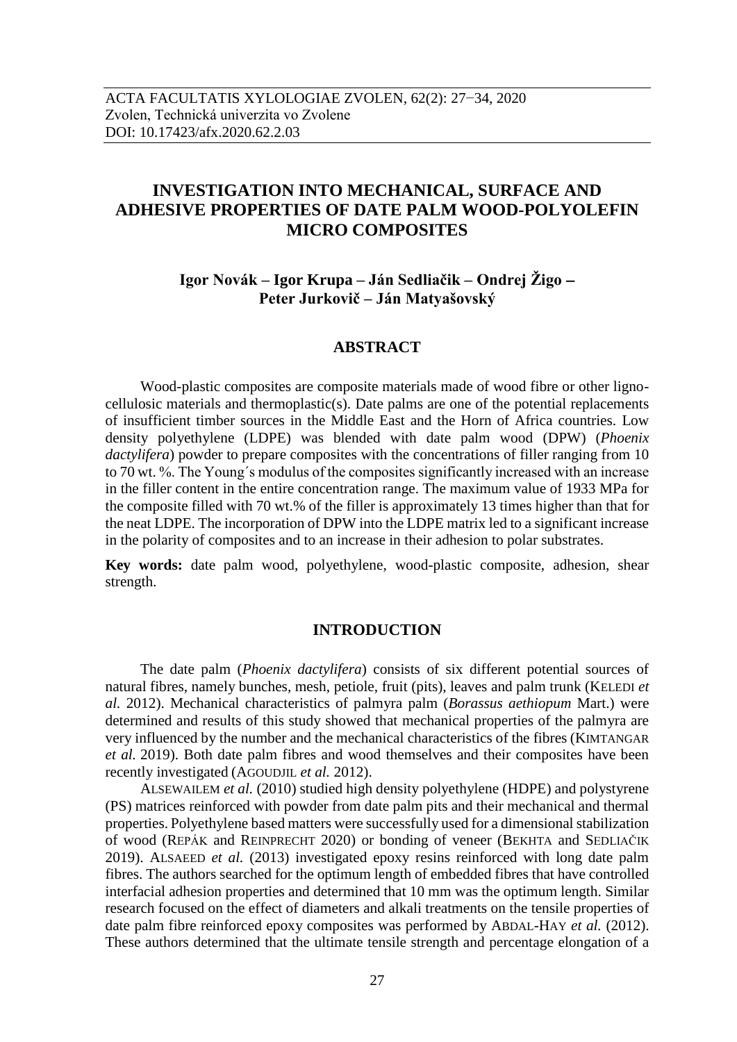# **INVESTIGATION INTO MECHANICAL, SURFACE AND ADHESIVE PROPERTIES OF DATE PALM WOOD-POLYOLEFIN MICRO COMPOSITES**

**Igor Novák – Igor Krupa – Ján Sedliačik – Ondrej Žigo Peter Jurkovič – Ján Matyašovský**

# **ABSTRACT**

Wood-plastic composites are composite materials made of wood fibre or other lignocellulosic materials and thermoplastic(s). Date palms are one of the potential replacements of insufficient timber sources in the Middle East and the Horn of Africa countries. Low density polyethylene (LDPE) was blended with date palm wood (DPW) (*Phoenix dactylifera*) powder to prepare composites with the concentrations of filler ranging from 10 to 70 wt. %. The Young´s modulus of the composites significantly increased with an increase in the filler content in the entire concentration range. The maximum value of 1933 MPa for the composite filled with 70 wt.% of the filler is approximately 13 times higher than that for the neat LDPE. The incorporation of DPW into the LDPE matrix led to a significant increase in the polarity of composites and to an increase in their adhesion to polar substrates.

**Key words:** date palm wood, polyethylene, wood-plastic composite, adhesion, shear strength.

# **INTRODUCTION**

The date palm (*Phoenix dactylifera*) consists of six different potential sources of natural fibres, namely bunches, mesh, petiole, fruit (pits), leaves and palm trunk (KELEDI *et al.* 2012). Mechanical characteristics of palmyra palm (*Borassus aethiopum* Mart.) were determined and results of this study showed that mechanical properties of the palmyra are very influenced by the number and the mechanical characteristics of the fibres (KIMTANGAR *et al.* 2019). Both date palm fibres and wood themselves and their composites have been recently investigated (AGOUDJIL *et al.* 2012).

ALSEWAILEM *et al.* (2010) studied high density polyethylene (HDPE) and polystyrene (PS) matrices reinforced with powder from date palm pits and their mechanical and thermal properties. Polyethylene based matters were successfully used for a dimensional stabilization of wood (REPÁK and REINPRECHT 2020) or bonding of veneer (BEKHTA and SEDLIAČIK 2019). ALSAEED *et al.* (2013) investigated epoxy resins reinforced with long date palm fibres. The authors searched for the optimum length of embedded fibres that have controlled interfacial adhesion properties and determined that 10 mm was the optimum length. Similar research focused on the effect of diameters and alkali treatments on the tensile properties of date palm fibre reinforced epoxy composites was performed by ABDAL-HAY *et al.* (2012). These authors determined that the ultimate tensile strength and percentage elongation of a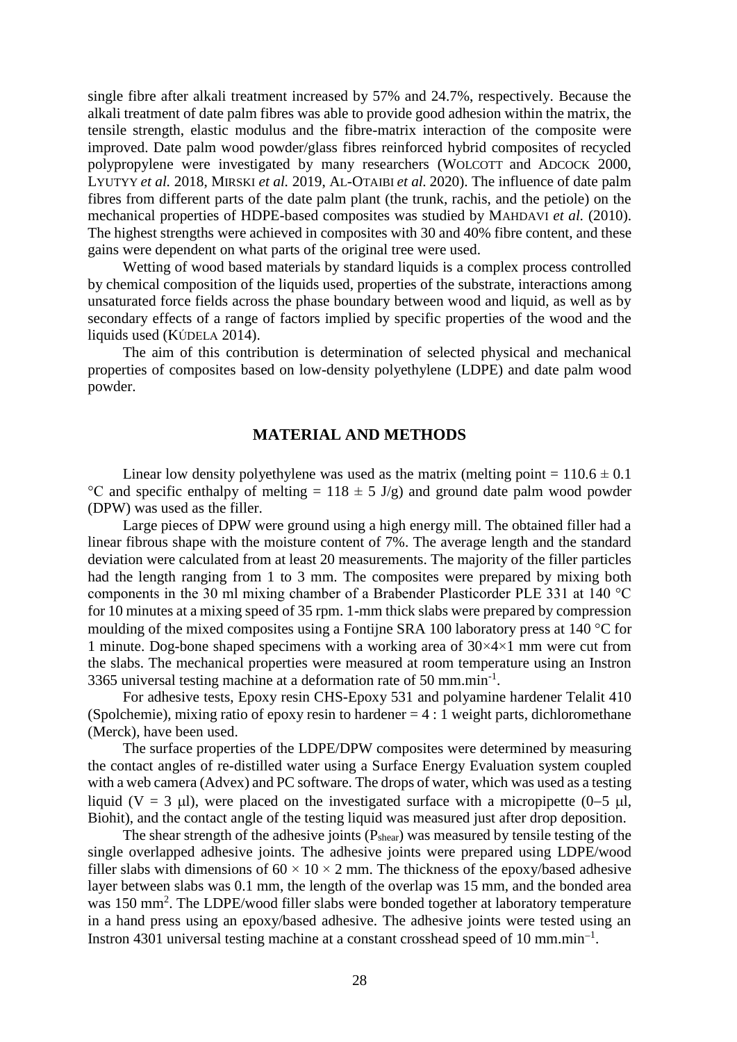single fibre after alkali treatment increased by 57% and 24.7%, respectively. Because the alkali treatment of date palm fibres was able to provide good adhesion within the matrix, the tensile strength, elastic modulus and the fibre-matrix interaction of the composite were improved. Date palm wood powder/glass fibres reinforced hybrid composites of recycled polypropylene were investigated by many researchers (WOLCOTT and ADCOCK 2000, LYUTYY *et al.* 2018, MIRSKI *et al.* 2019, AL-OTAIBI *et al.* 2020). The influence of date palm fibres from different parts of the date palm plant (the trunk, rachis, and the petiole) on the mechanical properties of HDPE-based composites was studied by MAHDAVI *et al.* (2010). The highest strengths were achieved in composites with 30 and 40% fibre content, and these gains were dependent on what parts of the original tree were used.

Wetting of wood based materials by standard liquids is a complex process controlled by chemical composition of the liquids used, properties of the substrate, interactions among unsaturated force fields across the phase boundary between wood and liquid, as well as by secondary effects of a range of factors implied by specific properties of the wood and the liquids used (KÚDELA 2014).

The aim of this contribution is determination of selected physical and mechanical properties of composites based on low-density polyethylene (LDPE) and date palm wood powder.

# **MATERIAL AND METHODS**

Linear low density polyethylene was used as the matrix (melting point =  $110.6 \pm 0.1$ ) <sup>o</sup>C and specific enthalpy of melting =  $118 \pm 5$  J/g) and ground date palm wood powder (DPW) was used as the filler.

Large pieces of DPW were ground using a high energy mill. The obtained filler had a linear fibrous shape with the moisture content of 7%. The average length and the standard deviation were calculated from at least 20 measurements. The majority of the filler particles had the length ranging from 1 to 3 mm. The composites were prepared by mixing both components in the 30 ml mixing chamber of a Brabender Plasticorder PLE 331 at 140 °C for 10 minutes at a mixing speed of 35 rpm. 1-mm thick slabs were prepared by compression moulding of the mixed composites using a Fontijne SRA 100 laboratory press at 140  $^{\circ}$ C for 1 minute. Dog-bone shaped specimens with a working area of  $30 \times 4 \times 1$  mm were cut from the slabs. The mechanical properties were measured at room temperature using an Instron 3365 universal testing machine at a deformation rate of 50 mm.min<sup>-1</sup>.

For adhesive tests, Epoxy resin CHS-Epoxy 531 and polyamine hardener Telalit 410 (Spolchemie), mixing ratio of epoxy resin to hardener  $= 4 : 1$  weight parts, dichloromethane (Merck), have been used.

The surface properties of the LDPE/DPW composites were determined by measuring the contact angles of re-distilled water using a Surface Energy Evaluation system coupled with a web camera (Advex) and PC software. The drops of water, which was used as a testing liquid (V = 3  $\mu$ l), were placed on the investigated surface with a micropipette (0–5  $\mu$ l, Biohit), and the contact angle of the testing liquid was measured just after drop deposition.

The shear strength of the adhesive joints (P<sub>shear</sub>) was measured by tensile testing of the single overlapped adhesive joints. The adhesive joints were prepared using LDPE/wood filler slabs with dimensions of  $60 \times 10 \times 2$  mm. The thickness of the epoxy/based adhesive layer between slabs was 0.1 mm, the length of the overlap was 15 mm, and the bonded area was 150 mm<sup>2</sup>. The LDPE/wood filler slabs were bonded together at laboratory temperature in a hand press using an epoxy/based adhesive. The adhesive joints were tested using an Instron 4301 universal testing machine at a constant crosshead speed of 10 mm.min<sup>-1</sup>.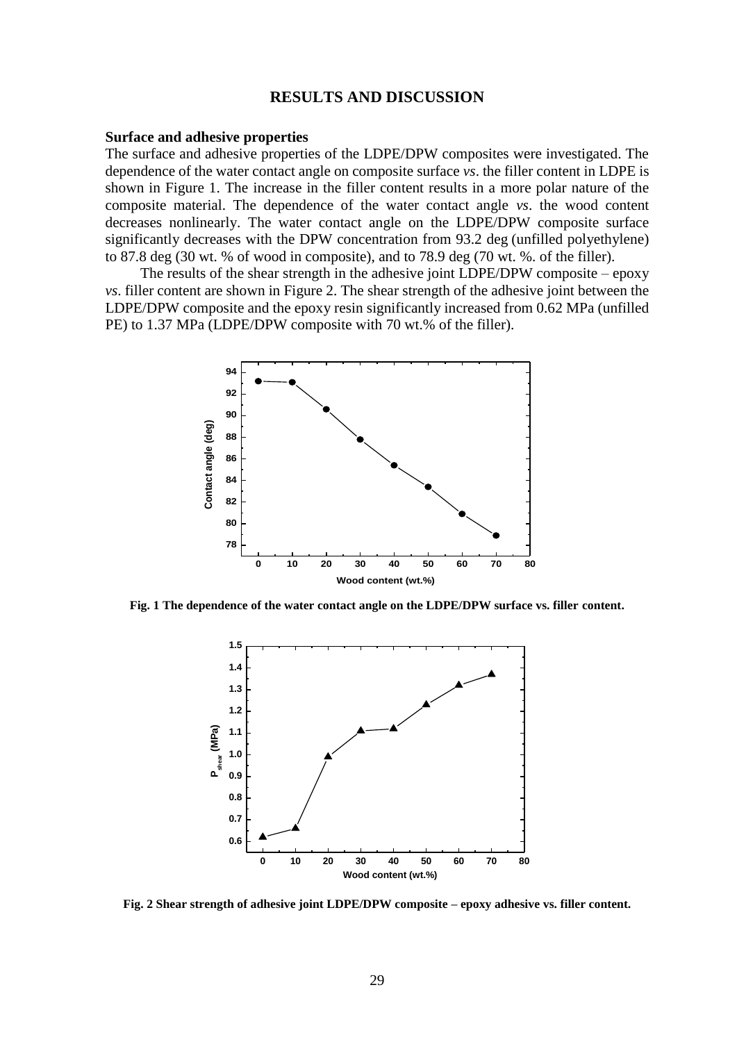#### **RESULTS AND DISCUSSION**

#### **Surface and adhesive properties**

The surface and adhesive properties of the LDPE/DPW composites were investigated. The dependence of the water contact angle on composite surface *vs*. the filler content in LDPE is shown in Figure 1. The increase in the filler content results in a more polar nature of the composite material. The dependence of the water contact angle *vs*. the wood content decreases nonlinearly. The water contact angle on the LDPE/DPW composite surface significantly decreases with the DPW concentration from 93.2 deg (unfilled polyethylene) to 87.8 deg (30 wt. % of wood in composite), and to 78.9 deg (70 wt. %. of the filler).

The results of the shear strength in the adhesive joint LDPE/DPW composite – epoxy *vs*. filler content are shown in Figure 2. The shear strength of the adhesive joint between the LDPE/DPW composite and the epoxy resin significantly increased from 0.62 MPa (unfilled PE) to 1.37 MPa (LDPE/DPW composite with 70 wt.% of the filler).



**Fig. 1 The dependence of the water contact angle on the LDPE/DPW surface vs. filler content.**



**Fig. 2 Shear strength of adhesive joint LDPE/DPW composite – epoxy adhesive vs. filler content.**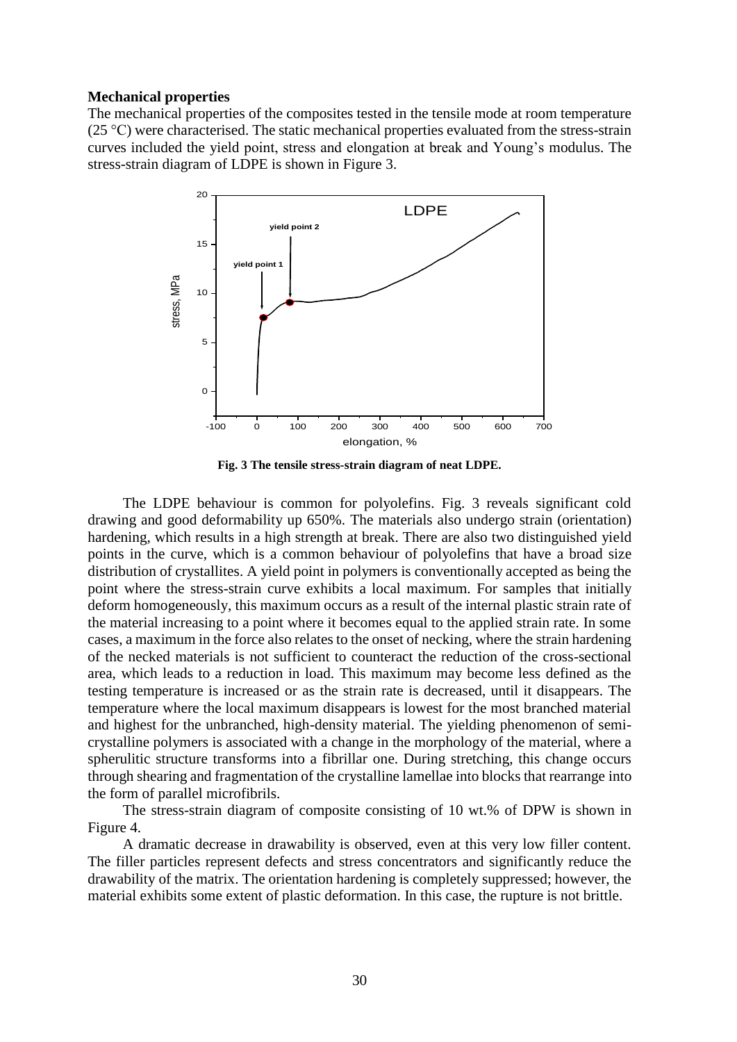#### **Mechanical properties**

The mechanical properties of the composites tested in the tensile mode at room temperature (25 °C) were characterised. The static mechanical properties evaluated from the stress-strain curves included the yield point, stress and elongation at break and Young's modulus. The stress-strain diagram of LDPE is shown in Figure 3.



**Fig. 3 The tensile stress-strain diagram of neat LDPE.**

The LDPE behaviour is common for polyolefins. Fig. 3 reveals significant cold drawing and good deformability up 650%. The materials also undergo strain (orientation) hardening, which results in a high strength at break. There are also two distinguished yield points in the curve, which is a common behaviour of polyolefins that have a broad size distribution of crystallites. A yield point in polymers is conventionally accepted as being the point where the stress-strain curve exhibits a local maximum. For samples that initially deform homogeneously, this maximum occurs as a result of the internal plastic strain rate of the material increasing to a point where it becomes equal to the applied strain rate. In some cases, a maximum in the force also relates to the onset of necking, where the strain hardening of the necked materials is not sufficient to counteract the reduction of the cross-sectional area, which leads to a reduction in load. This maximum may become less defined as the testing temperature is increased or as the strain rate is decreased, until it disappears. The temperature where the local maximum disappears is lowest for the most branched material and highest for the unbranched, high-density material. The yielding phenomenon of semicrystalline polymers is associated with a change in the morphology of the material, where a spherulitic structure transforms into a fibrillar one. During stretching, this change occurs through shearing and fragmentation of the crystalline lamellae into blocks that rearrange into the form of parallel microfibrils.

The stress-strain diagram of composite consisting of 10 wt.% of DPW is shown in Figure 4.

A dramatic decrease in drawability is observed, even at this very low filler content. The filler particles represent defects and stress concentrators and significantly reduce the drawability of the matrix. The orientation hardening is completely suppressed; however, the material exhibits some extent of plastic deformation. In this case, the rupture is not brittle.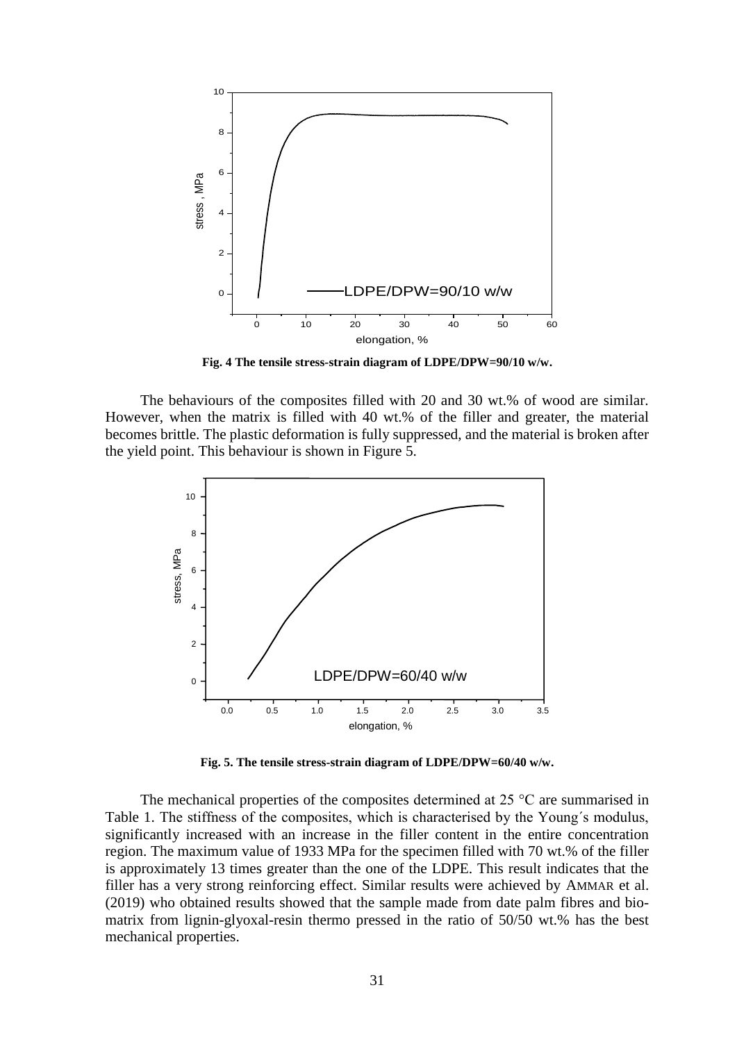

**Fig. 4 The tensile stress-strain diagram of LDPE/DPW=90/10 w/w.**

The behaviours of the composites filled with 20 and 30 wt.% of wood are similar. However, when the matrix is filled with 40 wt.% of the filler and greater, the material becomes brittle. The plastic deformation is fully suppressed, and the material is broken after the yield point. This behaviour is shown in Figure 5.



**Fig. 5. The tensile stress-strain diagram of LDPE/DPW=60/40 w/w.**

The mechanical properties of the composites determined at 25 °C are summarised in Table 1. The stiffness of the composites, which is characterised by the Young´s modulus, significantly increased with an increase in the filler content in the entire concentration region. The maximum value of 1933 MPa for the specimen filled with 70 wt.% of the filler is approximately 13 times greater than the one of the LDPE. This result indicates that the filler has a very strong reinforcing effect. Similar results were achieved by AMMAR et al. (2019) who obtained results showed that the sample made from date palm fibres and biomatrix from lignin-glyoxal-resin thermo pressed in the ratio of 50/50 wt.% has the best mechanical properties.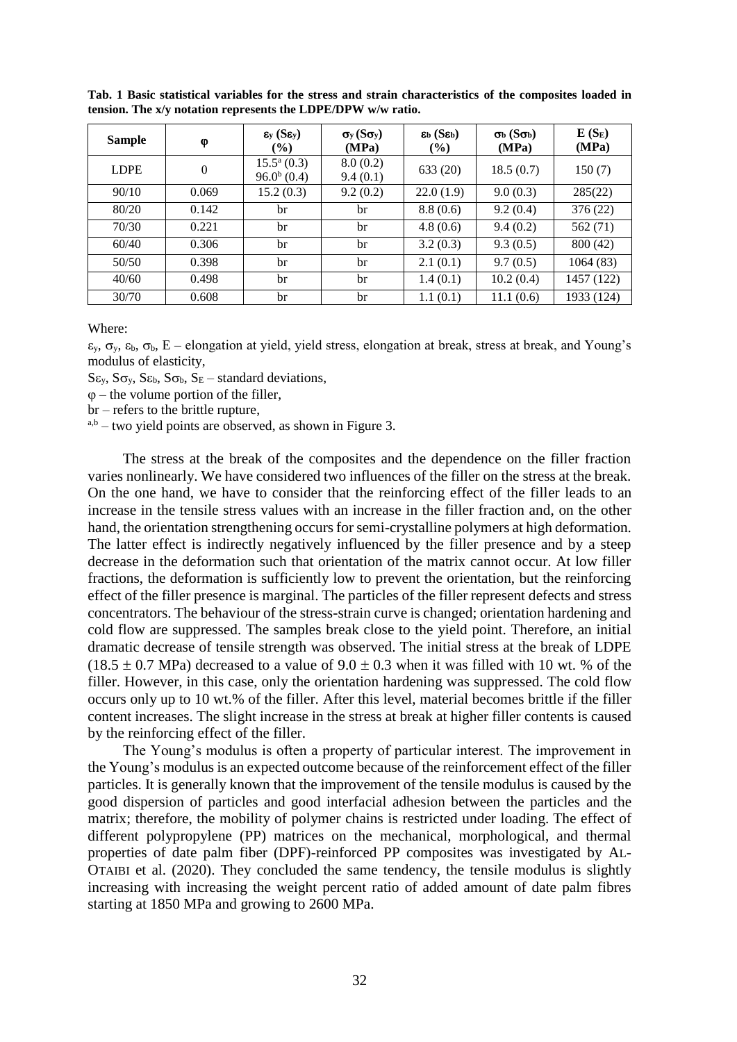| <b>Sample</b> | φ            | $\epsilon_{y}$ (S $\epsilon_{y}$ )<br>$($ %) | $\sigma_y(S\sigma_y)$<br>(MPa) | $\epsilon_{\rm b}$ (S $\epsilon_{\rm b}$ )<br>(%) | $\sigma_{\rm b}$ (S $\sigma_{\rm b}$ )<br>(MPa) | $E(S_E)$<br>(MPa) |
|---------------|--------------|----------------------------------------------|--------------------------------|---------------------------------------------------|-------------------------------------------------|-------------------|
| <b>LDPE</b>   | $\mathbf{0}$ | $15.5^{\rm a}$ (0.3)<br>$96.0^{b}$ (0.4)     | 8.0(0.2)<br>9.4(0.1)           | 633 (20)                                          | 18.5(0.7)                                       | 150(7)            |
| 90/10         | 0.069        | 15.2(0.3)                                    | 9.2(0.2)                       | 22.0(1.9)                                         | 9.0(0.3)                                        | 285(22)           |
| 80/20         | 0.142        | br                                           | br                             | 8.8(0.6)                                          | 9.2(0.4)                                        | 376 (22)          |
| 70/30         | 0.221        | br                                           | br                             | 4.8(0.6)                                          | 9.4(0.2)                                        | 562 (71)          |
| 60/40         | 0.306        | br                                           | br                             | 3.2(0.3)                                          | 9.3(0.5)                                        | 800 (42)          |
| 50/50         | 0.398        | br                                           | br                             | 2.1(0.1)                                          | 9.7(0.5)                                        | 1064(83)          |
| 40/60         | 0.498        | br                                           | br                             | 1.4(0.1)                                          | 10.2(0.4)                                       | 1457 (122)        |
| 30/70         | 0.608        | br                                           | br                             | 1.1(0.1)                                          | 11.1(0.6)                                       | 1933 (124)        |

**Tab. 1 Basic statistical variables for the stress and strain characteristics of the composites loaded in tension. The x/y notation represents the LDPE/DPW w/w ratio.**

Where:

 $\varepsilon_{v}$ ,  $\sigma_{v}$ ,  $\varepsilon_{b}$ ,  $\sigma_{b}$ , E – elongation at yield, yield stress, elongation at break, stress at break, and Young's modulus of elasticity,

 $S_{\varepsilon_{v}}$ ,  $S_{\sigma_{v}}$ ,  $S_{\varepsilon_{b}}$ ,  $S_{\sigma_{b}}$ ,  $S_{E}$  – standard deviations,

 $\varphi$  – the volume portion of the filler,

br – refers to the brittle rupture,

 $a,b$  – two yield points are observed, as shown in Figure 3.

The stress at the break of the composites and the dependence on the filler fraction varies nonlinearly. We have considered two influences of the filler on the stress at the break. On the one hand, we have to consider that the reinforcing effect of the filler leads to an increase in the tensile stress values with an increase in the filler fraction and, on the other hand, the orientation strengthening occurs for semi-crystalline polymers at high deformation. The latter effect is indirectly negatively influenced by the filler presence and by a steep decrease in the deformation such that orientation of the matrix cannot occur. At low filler fractions, the deformation is sufficiently low to prevent the orientation, but the reinforcing effect of the filler presence is marginal. The particles of the filler represent defects and stress concentrators. The behaviour of the stress-strain curve is changed; orientation hardening and cold flow are suppressed. The samples break close to the yield point. Therefore, an initial dramatic decrease of tensile strength was observed. The initial stress at the break of LDPE  $(18.5 \pm 0.7 \text{ MPa})$  decreased to a value of  $9.0 \pm 0.3$  when it was filled with 10 wt. % of the filler. However, in this case, only the orientation hardening was suppressed. The cold flow occurs only up to 10 wt.% of the filler. After this level, material becomes brittle if the filler content increases. The slight increase in the stress at break at higher filler contents is caused by the reinforcing effect of the filler.

The Young's modulus is often a property of particular interest. The improvement in the Young's modulus is an expected outcome because of the reinforcement effect of the filler particles. It is generally known that the improvement of the tensile modulus is caused by the good dispersion of particles and good interfacial adhesion between the particles and the matrix; therefore, the mobility of polymer chains is restricted under loading. The effect of different polypropylene (PP) matrices on the mechanical, morphological, and thermal properties of date palm fiber (DPF)-reinforced PP composites was investigated by AL-OTAIBI et al. (2020). They concluded the same tendency, the tensile modulus is slightly increasing with increasing the weight percent ratio of added amount of date palm fibres starting at 1850 MPa and growing to 2600 MPa.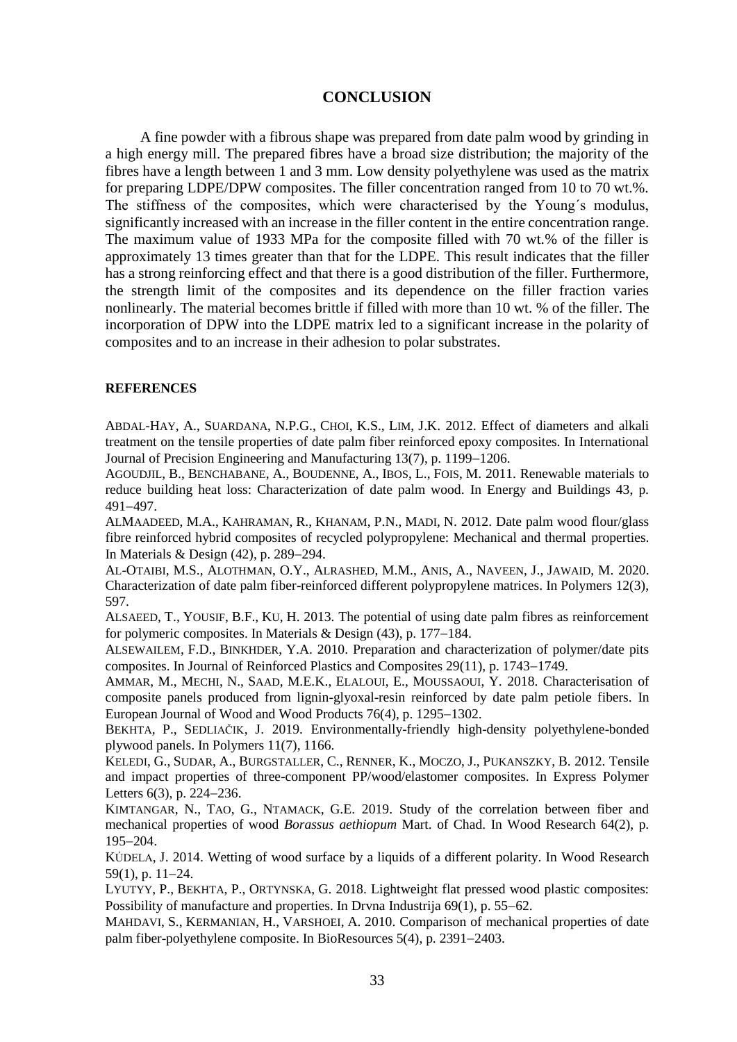### **CONCLUSION**

A fine powder with a fibrous shape was prepared from date palm wood by grinding in a high energy mill. The prepared fibres have a broad size distribution; the majority of the fibres have a length between 1 and 3 mm. Low density polyethylene was used as the matrix for preparing LDPE/DPW composites. The filler concentration ranged from 10 to 70 wt.%. The stiffness of the composites, which were characterised by the Young´s modulus, significantly increased with an increase in the filler content in the entire concentration range. The maximum value of 1933 MPa for the composite filled with 70 wt.% of the filler is approximately 13 times greater than that for the LDPE. This result indicates that the filler has a strong reinforcing effect and that there is a good distribution of the filler. Furthermore, the strength limit of the composites and its dependence on the filler fraction varies nonlinearly. The material becomes brittle if filled with more than 10 wt. % of the filler. The incorporation of DPW into the LDPE matrix led to a significant increase in the polarity of composites and to an increase in their adhesion to polar substrates.

#### **REFERENCES**

ABDAL-HAY, A., SUARDANA, N.P.G., CHOI, K.S., LIM, J.K. 2012. Effect of diameters and alkali treatment on the tensile properties of date palm fiber reinforced epoxy composites. In International Journal of Precision Engineering and Manufacturing 13(7), p. 1199–1206.

AGOUDJIL, B., BENCHABANE, A., BOUDENNE, A., IBOS, L., FOIS, M. 2011. Renewable materials to reduce building heat loss: Characterization of date palm wood. In Energy and Buildings 43, p. 491497.

ALMAADEED, M.A., KAHRAMAN, R., KHANAM, P.N., MADI, N. 2012. Date palm wood flour/glass fibre reinforced hybrid composites of recycled polypropylene: Mechanical and thermal properties. In Materials & Design  $(42)$ , p. 289–294.

AL-OTAIBI, M.S., ALOTHMAN, O.Y., ALRASHED, M.M., ANIS, A., NAVEEN, J., JAWAID, M. 2020. Characterization of date palm fiber-reinforced different polypropylene matrices. In Polymers 12(3), 597.

ALSAEED, T., YOUSIF, B.F., KU, H. 2013. The potential of using date palm fibres as reinforcement for polymeric composites. In Materials & Design  $(43)$ , p. 177–184.

ALSEWAILEM, F.D., BINKHDER, Y.A. 2010. Preparation and characterization of polymer/date pits composites. In Journal of Reinforced Plastics and Composites 29(11), p. 1743–1749.

AMMAR, M., MECHI, N., SAAD, M.E.K., ELALOUI, E., MOUSSAOUI, Y. 2018. Characterisation of composite panels produced from lignin-glyoxal-resin reinforced by date palm petiole fibers. In European Journal of Wood and Wood Products  $76(4)$ , p. 1295–1302.

BEKHTA, P., SEDLIAČIK, J. 2019. Environmentally-friendly high-density polyethylene-bonded plywood panels. In Polymers 11(7), 1166.

KELEDI, G., SUDAR, A., BURGSTALLER, C., RENNER, K., MOCZO, J., PUKANSZKY, B. 2012. Tensile and impact properties of three-component PP/wood/elastomer composites. In Express Polymer Letters  $6(3)$ , p. 224–236.

KIMTANGAR, N., TAO, G., NTAMACK, G.E. 2019. Study of the correlation between fiber and mechanical properties of wood *Borassus aethiopum* Mart. of Chad. In Wood Research 64(2), p. 195-204.

KÚDELA, J. 2014. Wetting of wood surface by a liquids of a different polarity. In Wood Research  $59(1)$ , p.  $11-24$ .

LYUTYY, P., BEKHTA, P., ORTYNSKA, G. 2018. Lightweight flat pressed wood plastic composites: Possibility of manufacture and properties. In Dryna Industrija  $69(1)$ , p. 55–62.

MAHDAVI, S., KERMANIAN, H., VARSHOEI, A. 2010. Comparison of mechanical properties of date palm fiber-polyethylene composite. In BioResources  $5(4)$ , p. 2391–2403.